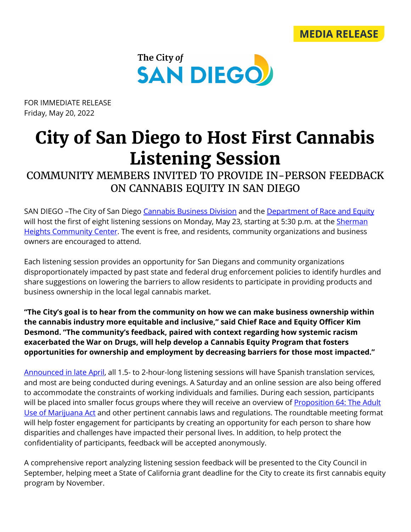



FOR IMMEDIATE RELEASE Friday, May 20, 2022

## **City of San Diego to Host First Cannabis Listening Session**

COMMUNITY MEMBERS INVITED TO PROVIDE IN-PERSON FEEDBACK ON CANNABIS EQUITY IN SAN DIEGO

SAN DIEGO -The City of San Diego [Cannabis Business Division](https://www.sandiego.gov/development-services/about-us#cannabis) and the Department [of Race and Equity](https://www.sandiego.gov/race-equity) will host the first of eight listening sessions on Monday, May 23, starting at 5:30 p.m. at the Sherman [Heights Community Center.](https://www.google.com/search?gs_ssp=eJwFwckNgCAQAMD41Sb4-JZDRCjBLhSWIxFMdE2Q6p3phylMDNvZVC60MyOtK3VaikVaL5xmhzS0eq6YkDBz79TsudjIE-HOeyERUoj4EHvl_JaEH7FQEO4fVawbgg&q=sherman+heights+community+center&rlz=1C1GCEA_en&oq=sherman+heights+com&aqs=chrome.1.69i59j46i175i199i512j0i512j69i57j0i22i30j0i390l2j69i60.4769j0j4&sourceid=chrome&ie=UTF-8) The event is free, and residents, community organizations and business owners are encouraged to attend.

Each listening session provides an opportunity for San Diegans and community organizations disproportionately impacted by past state and federal drug enforcement policies to identify hurdles and share suggestions on lowering the barriers to allow residents to participate in providing products and business ownership in the local legal cannabis market.

**"The City's goal is to hear from the community on how we can make business ownership within the cannabis industry more equitable and inclusive," said Chief Race and Equity Officer Kim Desmond. "The community's feedback, paired with context regarding how systemic racism exacerbated the War on Drugs, will help develop a Cannabis Equity Program that fosters opportunities for ownership and employment by decreasing barriers for those most impacted."**

[Announced in late April,](https://www.sandiego.gov/sites/default/files/2022-04-20_cannabis_listening_sessions.pdf) all 1.5- to 2-hour-long listening sessions will have Spanish translation services, and most are being conducted during evenings. A Saturday and an online session are also being offered to accommodate the constraints of working individuals and families. During each session, participants will be placed into smaller focus groups where they will receive an overview of Proposition 64: The Adult [Use of Marijuana Act](https://www.courts.ca.gov/prop64.htm) and other pertinent cannabis laws and regulations. The roundtable meeting format will help foster engagement for participants by creating an opportunity for each person to share how disparities and challenges have impacted their personal lives. In addition, to help protect the confidentiality of participants, feedback will be accepted anonymously.

A comprehensive report analyzing listening session feedback will be presented to the City Council in September, helping meet a State of California grant deadline for the City to create its first cannabis equity program by November.